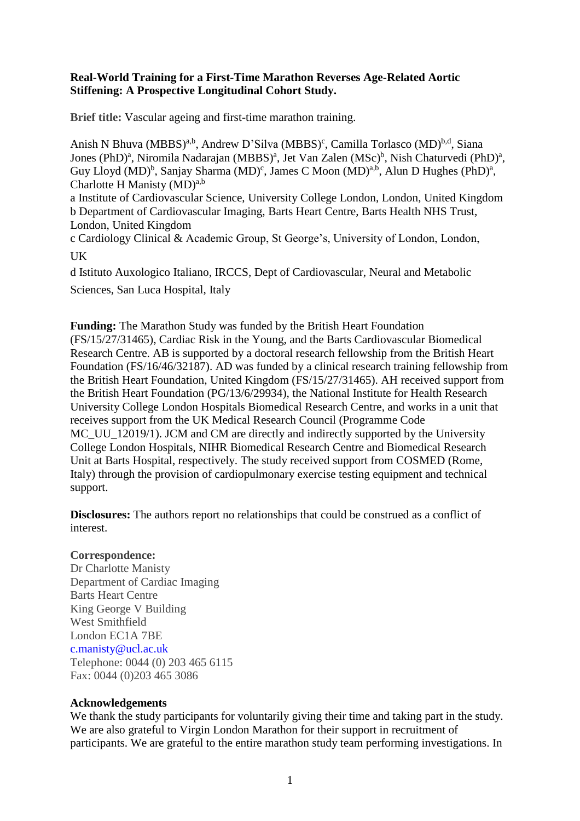## **Real-World Training for a First-Time Marathon Reverses Age-Related Aortic Stiffening: A Prospective Longitudinal Cohort Study.**

**Brief title:** Vascular ageing and first-time marathon training.

Anish N Bhuva (MBBS)<sup>a,b</sup>, Andrew D'Silva (MBBS)<sup>c</sup>, Camilla Torlasco (MD)<sup>b,d</sup>, Siana Jones (PhD)<sup>a</sup>, Niromila Nadarajan (MBBS)<sup>a</sup>, Jet Van Zalen (MSc)<sup>b</sup>, Nish Chaturvedi (PhD)<sup>a</sup>, Guy Lloyd (MD)<sup>b</sup>, Sanjay Sharma (MD)<sup>c</sup>, James C Moon (MD)<sup>a,b</sup>, Alun D Hughes (PhD)<sup>a</sup>, Charlotte H Manisty  $(MD)^{a,b}$ 

a Institute of Cardiovascular Science, University College London, London, United Kingdom b Department of Cardiovascular Imaging, Barts Heart Centre, Barts Health NHS Trust, London, United Kingdom

c Cardiology Clinical & Academic Group, St George's, University of London, London, UK

d Istituto Auxologico Italiano, IRCCS, Dept of Cardiovascular, Neural and Metabolic Sciences, San Luca Hospital, Italy

**Funding:** The Marathon Study was funded by the British Heart Foundation (FS/15/27/31465), Cardiac Risk in the Young, and the Barts Cardiovascular Biomedical Research Centre. AB is supported by a doctoral research fellowship from the British Heart Foundation (FS/16/46/32187). AD was funded by a clinical research training fellowship from the British Heart Foundation, United Kingdom (FS/15/27/31465). AH received support from the British Heart Foundation (PG/13/6/29934), the National Institute for Health Research University College London Hospitals Biomedical Research Centre, and works in a unit that receives support from the UK Medical Research Council (Programme Code MC\_UU\_12019/1). JCM and CM are directly and indirectly supported by the University College London Hospitals, NIHR Biomedical Research Centre and Biomedical Research Unit at Barts Hospital, respectively. The study received support from COSMED (Rome, Italy) through the provision of cardiopulmonary exercise testing equipment and technical support.

**Disclosures:** The authors report no relationships that could be construed as a conflict of interest.

# **Correspondence:**

Dr Charlotte Manisty Department of Cardiac Imaging Barts Heart Centre King George V Building West Smithfield London EC1A 7BE c.manisty@ucl.ac.uk Telephone: 0044 (0) 203 465 6115 Fax: 0044 (0)203 465 3086

## **Acknowledgements**

We thank the study participants for voluntarily giving their time and taking part in the study. We are also grateful to Virgin London Marathon for their support in recruitment of participants. We are grateful to the entire marathon study team performing investigations. In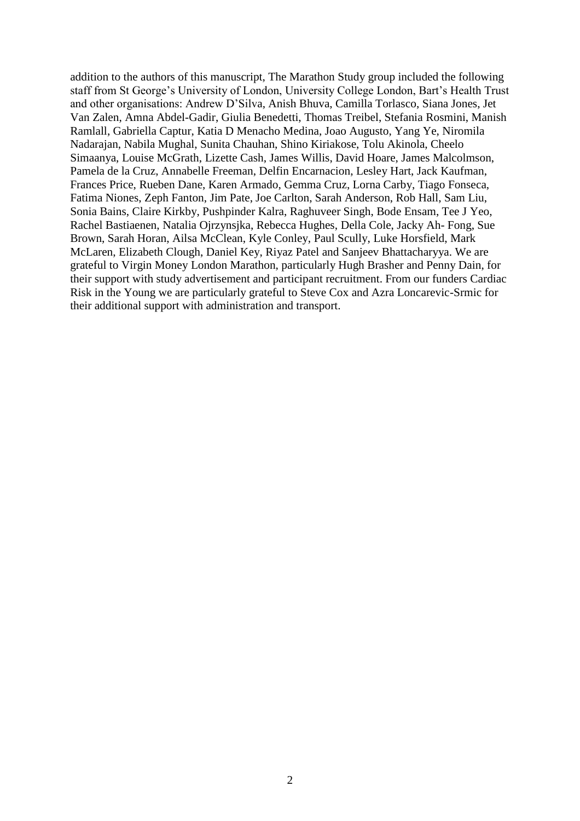addition to the authors of this manuscript, The Marathon Study group included the following staff from St George's University of London, University College London, Bart's Health Trust and other organisations: Andrew D'Silva, Anish Bhuva, Camilla Torlasco, Siana Jones, Jet Van Zalen, Amna Abdel-Gadir, Giulia Benedetti, Thomas Treibel, Stefania Rosmini, Manish Ramlall, Gabriella Captur, Katia D Menacho Medina, Joao Augusto, Yang Ye, Niromila Nadarajan, Nabila Mughal, Sunita Chauhan, Shino Kiriakose, Tolu Akinola, Cheelo Simaanya, Louise McGrath, Lizette Cash, James Willis, David Hoare, James Malcolmson, Pamela de la Cruz, Annabelle Freeman, Delfin Encarnacion, Lesley Hart, Jack Kaufman, Frances Price, Rueben Dane, Karen Armado, Gemma Cruz, Lorna Carby, Tiago Fonseca, Fatima Niones, Zeph Fanton, Jim Pate, Joe Carlton, Sarah Anderson, Rob Hall, Sam Liu, Sonia Bains, Claire Kirkby, Pushpinder Kalra, Raghuveer Singh, Bode Ensam, Tee J Yeo, Rachel Bastiaenen, Natalia Ojrzynsjka, Rebecca Hughes, Della Cole, Jacky Ah- Fong, Sue Brown, Sarah Horan, Ailsa McClean, Kyle Conley, Paul Scully, Luke Horsfield, Mark McLaren, Elizabeth Clough, Daniel Key, Riyaz Patel and Sanjeev Bhattacharyya. We are grateful to Virgin Money London Marathon, particularly Hugh Brasher and Penny Dain, for their support with study advertisement and participant recruitment. From our funders Cardiac Risk in the Young we are particularly grateful to Steve Cox and Azra Loncarevic-Srmic for their additional support with administration and transport.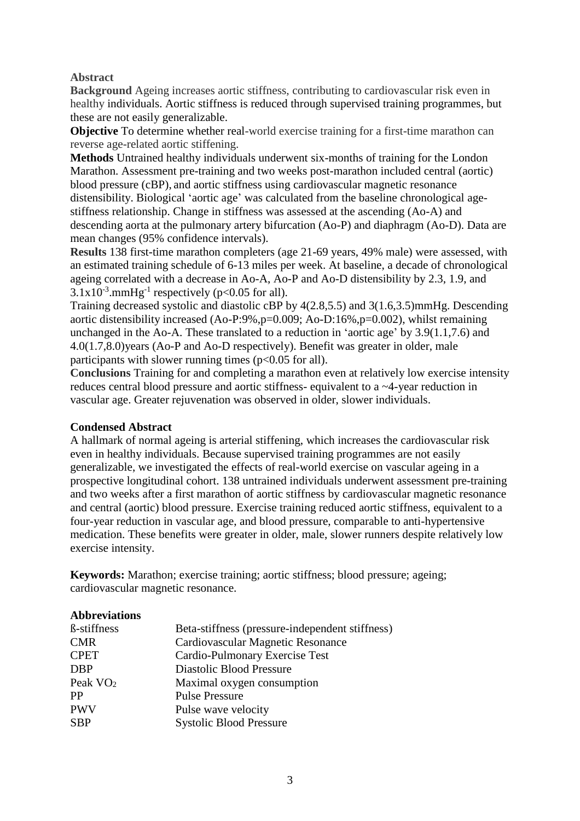## **Abstract**

**Background** Ageing increases aortic stiffness, contributing to cardiovascular risk even in healthy individuals. Aortic stiffness is reduced through supervised training programmes, but these are not easily generalizable.

**Objective** To determine whether real-world exercise training for a first-time marathon can reverse age-related aortic stiffening.

**Methods** Untrained healthy individuals underwent six-months of training for the London Marathon. Assessment pre-training and two weeks post-marathon included central (aortic) blood pressure (cBP), and aortic stiffness using cardiovascular magnetic resonance distensibility. Biological 'aortic age' was calculated from the baseline chronological agestiffness relationship. Change in stiffness was assessed at the ascending (Ao-A) and descending aorta at the pulmonary artery bifurcation (Ao-P) and diaphragm (Ao-D). Data are mean changes (95% confidence intervals).

**Results** 138 first-time marathon completers (age 21-69 years, 49% male) were assessed, with an estimated training schedule of 6-13 miles per week. At baseline, a decade of chronological ageing correlated with a decrease in Ao-A, Ao-P and Ao-D distensibility by 2.3, 1.9, and  $3.1x10^{-3}$ .mmHg<sup>-1</sup> respectively (p<0.05 for all).

Training decreased systolic and diastolic cBP by 4(2.8,5.5) and 3(1.6,3.5)mmHg. Descending aortic distensibility increased (Ao-P:9%,p=0.009; Ao-D:16%,p=0.002), whilst remaining unchanged in the Ao-A. These translated to a reduction in 'aortic age' by 3.9(1.1,7.6) and 4.0(1.7,8.0)years (Ao-P and Ao-D respectively). Benefit was greater in older, male participants with slower running times ( $p<0.05$  for all).

**Conclusions** Training for and completing a marathon even at relatively low exercise intensity reduces central blood pressure and aortic stiffness- equivalent to a ~4-year reduction in vascular age. Greater rejuvenation was observed in older, slower individuals.

## **Condensed Abstract**

A hallmark of normal ageing is arterial stiffening, which increases the cardiovascular risk even in healthy individuals. Because supervised training programmes are not easily generalizable, we investigated the effects of real-world exercise on vascular ageing in a prospective longitudinal cohort. 138 untrained individuals underwent assessment pre-training and two weeks after a first marathon of aortic stiffness by cardiovascular magnetic resonance and central (aortic) blood pressure. Exercise training reduced aortic stiffness, equivalent to a four-year reduction in vascular age, and blood pressure, comparable to anti-hypertensive medication. These benefits were greater in older, male, slower runners despite relatively low exercise intensity.

**Keywords:** Marathon; exercise training; aortic stiffness; blood pressure; ageing; cardiovascular magnetic resonance.

| <b>Abbreviations</b> |                                                 |
|----------------------|-------------------------------------------------|
| <b>B</b> -stiffness  | Beta-stiffness (pressure-independent stiffness) |
| <b>CMR</b>           | Cardiovascular Magnetic Resonance               |
| <b>CPET</b>          | Cardio-Pulmonary Exercise Test                  |
| <b>DBP</b>           | Diastolic Blood Pressure                        |
| Peak VO <sub>2</sub> | Maximal oxygen consumption                      |
| PP                   | <b>Pulse Pressure</b>                           |
| <b>PWV</b>           | Pulse wave velocity                             |
| <b>SBP</b>           | <b>Systolic Blood Pressure</b>                  |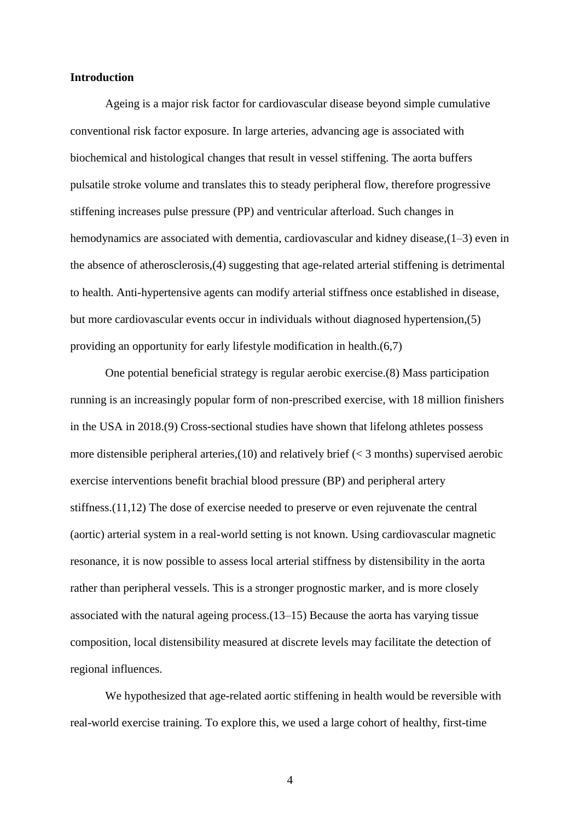### **Introduction**

Ageing is a major risk factor for cardiovascular disease beyond simple cumulative conventional risk factor exposure. In large arteries, advancing age is associated with biochemical and histological changes that result in vessel stiffening. The aorta buffers pulsatile stroke volume and translates this to steady peripheral flow, therefore progressive stiffening increases pulse pressure (PP) and ventricular afterload. Such changes in hemodynamics are associated with dementia, cardiovascular and kidney disease,  $(1-3)$  even in the absence of atherosclerosis,(4) suggesting that age-related arterial stiffening is detrimental to health. Anti-hypertensive agents can modify arterial stiffness once established in disease, but more cardiovascular events occur in individuals without diagnosed hypertension,(5) providing an opportunity for early lifestyle modification in health.(6,7)

One potential beneficial strategy is regular aerobic exercise.(8) Mass participation running is an increasingly popular form of non-prescribed exercise, with 18 million finishers in the USA in 2018.(9) Cross-sectional studies have shown that lifelong athletes possess more distensible peripheral arteries,  $(10)$  and relatively brief ( $\lt$  3 months) supervised aerobic exercise interventions benefit brachial blood pressure (BP) and peripheral artery stiffness.(11,12) The dose of exercise needed to preserve or even rejuvenate the central (aortic) arterial system in a real-world setting is not known. Using cardiovascular magnetic resonance, it is now possible to assess local arterial stiffness by distensibility in the aorta rather than peripheral vessels. This is a stronger prognostic marker, and is more closely associated with the natural ageing process. $(13-15)$  Because the aorta has varying tissue composition, local distensibility measured at discrete levels may facilitate the detection of regional influences.

We hypothesized that age-related aortic stiffening in health would be reversible with real-world exercise training. To explore this, we used a large cohort of healthy, first-time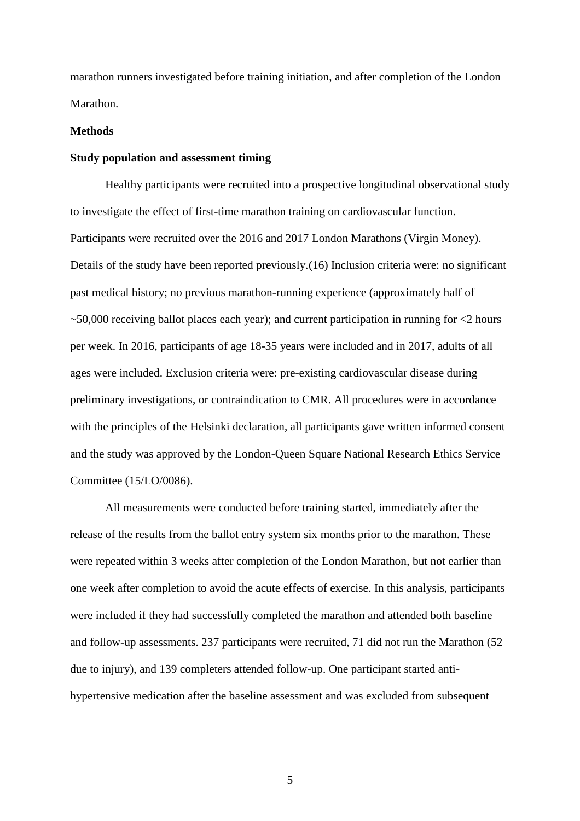marathon runners investigated before training initiation, and after completion of the London Marathon.

### **Methods**

### **Study population and assessment timing**

Healthy participants were recruited into a prospective longitudinal observational study to investigate the effect of first-time marathon training on cardiovascular function. Participants were recruited over the 2016 and 2017 London Marathons (Virgin Money). Details of the study have been reported previously.(16) Inclusion criteria were: no significant past medical history; no previous marathon-running experience (approximately half of  $\sim$  50,000 receiving ballot places each year); and current participation in running for  $\lt 2$  hours per week. In 2016, participants of age 18-35 years were included and in 2017, adults of all ages were included. Exclusion criteria were: pre-existing cardiovascular disease during preliminary investigations, or contraindication to CMR. All procedures were in accordance with the principles of the Helsinki declaration, all participants gave written informed consent and the study was approved by the London-Queen Square National Research Ethics Service Committee (15/LO/0086).

All measurements were conducted before training started, immediately after the release of the results from the ballot entry system six months prior to the marathon. These were repeated within 3 weeks after completion of the London Marathon, but not earlier than one week after completion to avoid the acute effects of exercise. In this analysis, participants were included if they had successfully completed the marathon and attended both baseline and follow-up assessments. 237 participants were recruited, 71 did not run the Marathon (52 due to injury), and 139 completers attended follow-up. One participant started antihypertensive medication after the baseline assessment and was excluded from subsequent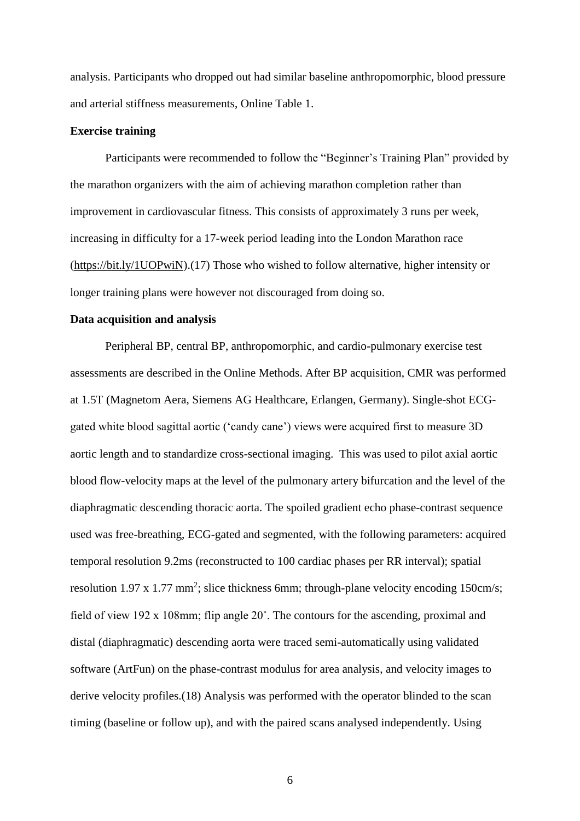analysis. Participants who dropped out had similar baseline anthropomorphic, blood pressure and arterial stiffness measurements, Online Table 1.

#### **Exercise training**

Participants were recommended to follow the "Beginner's Training Plan" provided by the marathon organizers with the aim of achieving marathon completion rather than improvement in cardiovascular fitness. This consists of approximately 3 runs per week, increasing in difficulty for a 17-week period leading into the London Marathon race [\(https://bit.ly/1UOPwiN\)](https://bit.ly/1UOPwiN).(17) Those who wished to follow alternative, higher intensity or longer training plans were however not discouraged from doing so.

### **Data acquisition and analysis**

Peripheral BP, central BP, anthropomorphic, and cardio-pulmonary exercise test assessments are described in the Online Methods. After BP acquisition, CMR was performed at 1.5T (Magnetom Aera, Siemens AG Healthcare, Erlangen, Germany). Single-shot ECGgated white blood sagittal aortic ('candy cane') views were acquired first to measure 3D aortic length and to standardize cross-sectional imaging. This was used to pilot axial aortic blood flow-velocity maps at the level of the pulmonary artery bifurcation and the level of the diaphragmatic descending thoracic aorta. The spoiled gradient echo phase-contrast sequence used was free-breathing, ECG-gated and segmented, with the following parameters: acquired temporal resolution 9.2ms (reconstructed to 100 cardiac phases per RR interval); spatial resolution  $1.97 \times 1.77$  mm<sup>2</sup>; slice thickness 6mm; through-plane velocity encoding 150cm/s; field of view 192 x 108mm; flip angle 20˚. The contours for the ascending, proximal and distal (diaphragmatic) descending aorta were traced semi-automatically using validated software (ArtFun) on the phase-contrast modulus for area analysis, and velocity images to derive velocity profiles.(18) Analysis was performed with the operator blinded to the scan timing (baseline or follow up), and with the paired scans analysed independently. Using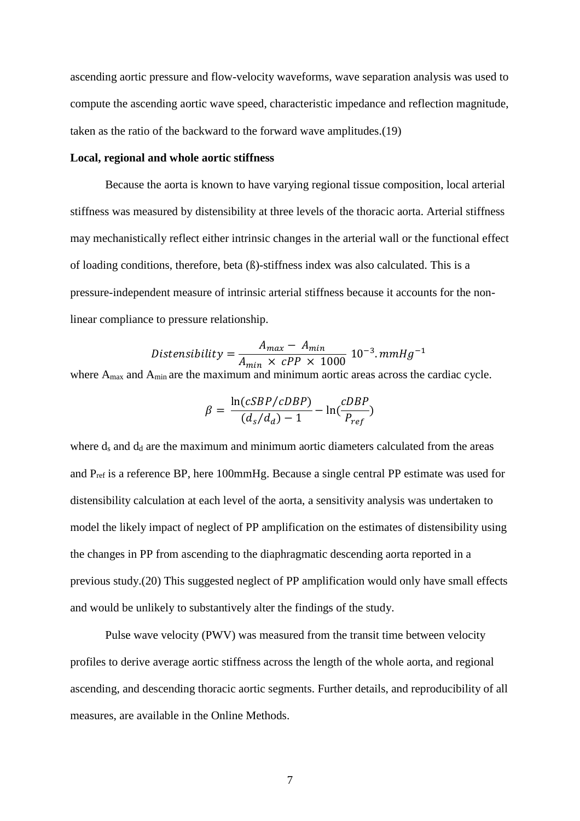ascending aortic pressure and flow-velocity waveforms, wave separation analysis was used to compute the ascending aortic wave speed, characteristic impedance and reflection magnitude, taken as the ratio of the backward to the forward wave amplitudes.(19)

### **Local, regional and whole aortic stiffness**

Because the aorta is known to have varying regional tissue composition, local arterial stiffness was measured by distensibility at three levels of the thoracic aorta. Arterial stiffness may mechanistically reflect either intrinsic changes in the arterial wall or the functional effect of loading conditions, therefore, beta (ß)-stiffness index was also calculated. This is a pressure-independent measure of intrinsic arterial stiffness because it accounts for the nonlinear compliance to pressure relationship.

$$
Distensibility = \frac{A_{max} - A_{min}}{A_{min} \times cPP \times 1000} 10^{-3}.mmHg^{-1}
$$

where A<sub>max</sub> and A<sub>min</sub> are the maximum and minimum aortic areas across the cardiac cycle.

$$
\beta = \frac{\ln(cSBP/cDBP)}{(d_s/d_d) - 1} - \ln(\frac{cDBP}{P_{ref}})
$$

where  $d_s$  and  $d_d$  are the maximum and minimum aortic diameters calculated from the areas and Pref is a reference BP, here 100mmHg. Because a single central PP estimate was used for distensibility calculation at each level of the aorta, a sensitivity analysis was undertaken to model the likely impact of neglect of PP amplification on the estimates of distensibility using the changes in PP from ascending to the diaphragmatic descending aorta reported in a previous study.(20) This suggested neglect of PP amplification would only have small effects and would be unlikely to substantively alter the findings of the study.

Pulse wave velocity (PWV) was measured from the transit time between velocity profiles to derive average aortic stiffness across the length of the whole aorta, and regional ascending, and descending thoracic aortic segments. Further details, and reproducibility of all measures, are available in the Online Methods.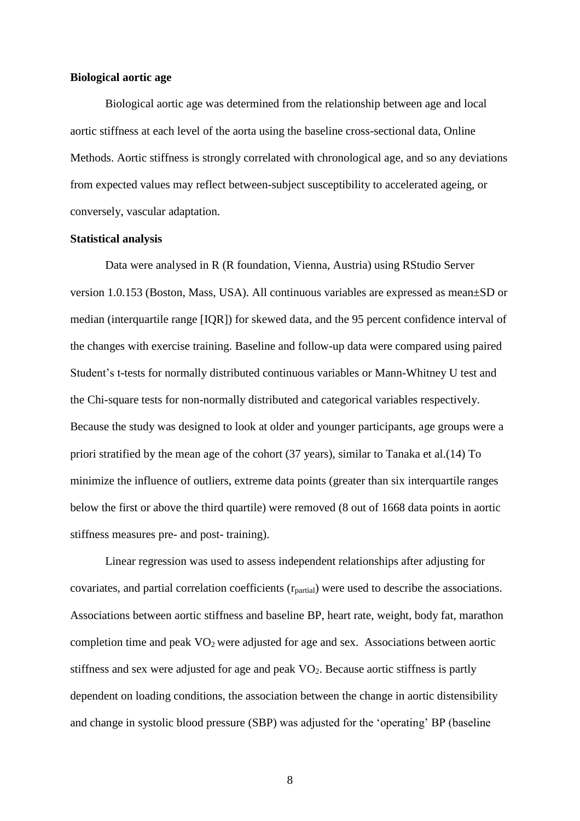### **Biological aortic age**

Biological aortic age was determined from the relationship between age and local aortic stiffness at each level of the aorta using the baseline cross-sectional data, Online Methods. Aortic stiffness is strongly correlated with chronological age, and so any deviations from expected values may reflect between-subject susceptibility to accelerated ageing, or conversely, vascular adaptation.

### **Statistical analysis**

Data were analysed in R (R foundation, Vienna, Austria) using RStudio Server version 1.0.153 (Boston, Mass, USA). All continuous variables are expressed as mean±SD or median (interquartile range [IQR]) for skewed data, and the 95 percent confidence interval of the changes with exercise training. Baseline and follow-up data were compared using paired Student's t-tests for normally distributed continuous variables or Mann-Whitney U test and the Chi-square tests for non-normally distributed and categorical variables respectively. Because the study was designed to look at older and younger participants, age groups were a priori stratified by the mean age of the cohort (37 years), similar to Tanaka et al.(14) To minimize the influence of outliers, extreme data points (greater than six interquartile ranges below the first or above the third quartile) were removed (8 out of 1668 data points in aortic stiffness measures pre- and post- training).

Linear regression was used to assess independent relationships after adjusting for covariates, and partial correlation coefficients (rpartial) were used to describe the associations. Associations between aortic stiffness and baseline BP, heart rate, weight, body fat, marathon completion time and peak  $VO<sub>2</sub>$  were adjusted for age and sex. Associations between aortic stiffness and sex were adjusted for age and peak  $VO<sub>2</sub>$ . Because aortic stiffness is partly dependent on loading conditions, the association between the change in aortic distensibility and change in systolic blood pressure (SBP) was adjusted for the 'operating' BP (baseline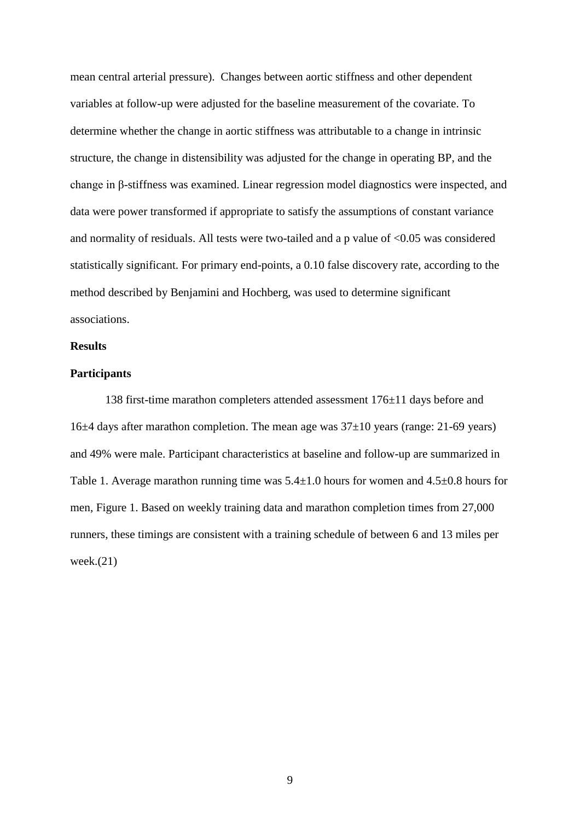mean central arterial pressure). Changes between aortic stiffness and other dependent variables at follow-up were adjusted for the baseline measurement of the covariate. To determine whether the change in aortic stiffness was attributable to a change in intrinsic structure, the change in distensibility was adjusted for the change in operating BP, and the change in β-stiffness was examined. Linear regression model diagnostics were inspected, and data were power transformed if appropriate to satisfy the assumptions of constant variance and normality of residuals. All tests were two-tailed and a p value of <0.05 was considered statistically significant. For primary end-points, a 0.10 false discovery rate, according to the method described by Benjamini and Hochberg, was used to determine significant associations.

### **Results**

# **Participants**

138 first-time marathon completers attended assessment 176±11 days before and 16 $\pm$ 4 days after marathon completion. The mean age was  $37\pm10$  years (range: 21-69 years) and 49% were male. Participant characteristics at baseline and follow-up are summarized in [Table 1.](#page-23-0) Average marathon running time was  $5.4\pm1.0$  hours for women and  $4.5\pm0.8$  hours for men, [Figure 1.](#page-22-0) Based on weekly training data and marathon completion times from 27,000 runners, these timings are consistent with a training schedule of between 6 and 13 miles per week. $(21)$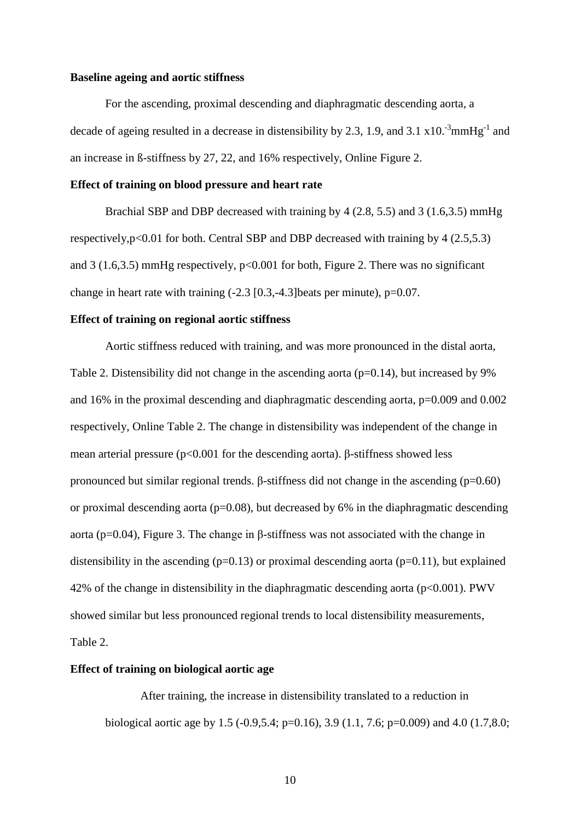### **Baseline ageing and aortic stiffness**

For the ascending, proximal descending and diaphragmatic descending aorta, a decade of ageing resulted in a decrease in distensibility by 2.3, 1.9, and 3.1  $\times$  10.<sup>-3</sup>mmHg<sup>-1</sup> and an increase in ß-stiffness by 27, 22, and 16% respectively, Online Figure 2.

### **Effect of training on blood pressure and heart rate**

Brachial SBP and DBP decreased with training by 4 (2.8, 5.5) and 3 (1.6,3.5) mmHg respectively,p<0.01 for both. Central SBP and DBP decreased with training by 4 (2.5,5.3) and 3 (1.6,3.5) mmHg respectively,  $p<0.001$  for both, [Figure 2.](#page-22-1) There was no significant change in heart rate with training (-2.3 [0.3,-4.3]beats per minute), p=0.07.

### **Effect of training on regional aortic stiffness**

Aortic stiffness reduced with training, and was more pronounced in the distal aorta, [Table 2.](#page-25-0) Distensibility did not change in the ascending aorta  $(p=0.14)$ , but increased by 9% and 16% in the proximal descending and diaphragmatic descending aorta, p=0.009 and 0.002 respectively, Online Table 2. The change in distensibility was independent of the change in mean arterial pressure (p<0.001 for the descending aorta). β-stiffness showed less pronounced but similar regional trends. β-stiffness did not change in the ascending  $(p=0.60)$ or proximal descending aorta ( $p=0.08$ ), but decreased by 6% in the diaphragmatic descending aorta (p=0.04), [Figure 3.](#page-22-2) The change in β-stiffness was not associated with the change in distensibility in the ascending  $(p=0.13)$  or proximal descending aorta  $(p=0.11)$ , but explained 42% of the change in distensibility in the diaphragmatic descending aorta ( $p<0.001$ ). PWV showed similar but less pronounced regional trends to local distensibility measurements, [Table 2.](#page-25-0)

### **Effect of training on biological aortic age**

After training, the increase in distensibility translated to a reduction in biological aortic age by 1.5 (-0.9,5.4; p=0.16), 3.9 (1.1, 7.6; p=0.009) and 4.0 (1.7,8.0;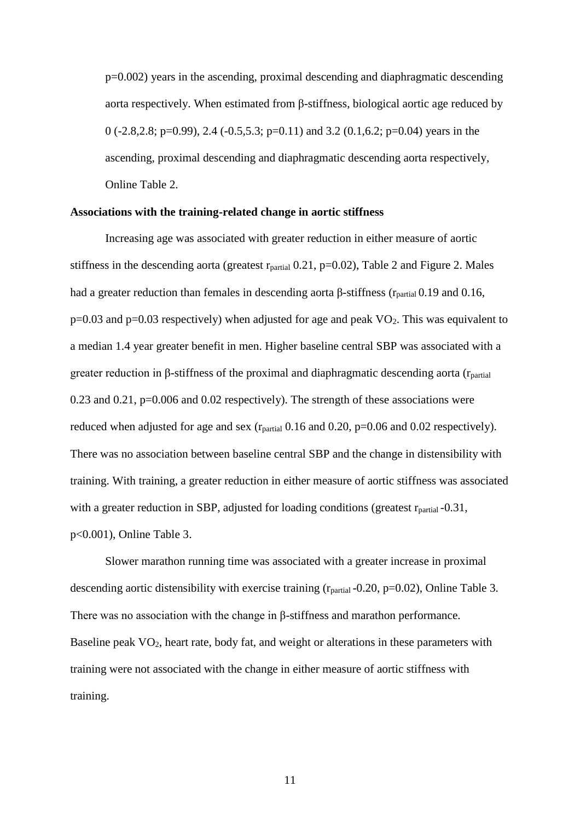p=0.002) years in the ascending, proximal descending and diaphragmatic descending aorta respectively. When estimated from β-stiffness, biological aortic age reduced by 0 (-2.8,2.8; p=0.99), 2.4 (-0.5,5.3; p=0.11) and 3.2 (0.1,6.2; p=0.04) years in the ascending, proximal descending and diaphragmatic descending aorta respectively, Online Table 2.

## **Associations with the training-related change in aortic stiffness**

Increasing age was associated with greater reduction in either measure of aortic stiffness in the descending aorta (greatest  $r_{partial}$  0.21, p=0.02), [Table 2](#page-25-0) and [Figure 2.](#page-22-1) Males had a greater reduction than females in descending aorta β-stiffness ( $r_{\text{partial}}$  0.19 and 0.16,  $p=0.03$  and  $p=0.03$  respectively) when adjusted for age and peak VO<sub>2</sub>. This was equivalent to a median 1.4 year greater benefit in men. Higher baseline central SBP was associated with a greater reduction in β-stiffness of the proximal and diaphragmatic descending aorta ( $r_{\text{partial}}$ ) 0.23 and 0.21, p=0.006 and 0.02 respectively). The strength of these associations were reduced when adjusted for age and sex ( $r_{\text{partial}}$  0.16 and 0.20, p=0.06 and 0.02 respectively). There was no association between baseline central SBP and the change in distensibility with training. With training, a greater reduction in either measure of aortic stiffness was associated with a greater reduction in SBP, adjusted for loading conditions (greatest  $r_{partial}$ -0.31, p<0.001), Online Table 3.

Slower marathon running time was associated with a greater increase in proximal descending aortic distensibility with exercise training  $(r_{partial} -0.20, p=0.02)$ , Online Table 3. There was no association with the change in β-stiffness and marathon performance. Baseline peak  $VO<sub>2</sub>$ , heart rate, body fat, and weight or alterations in these parameters with training were not associated with the change in either measure of aortic stiffness with training.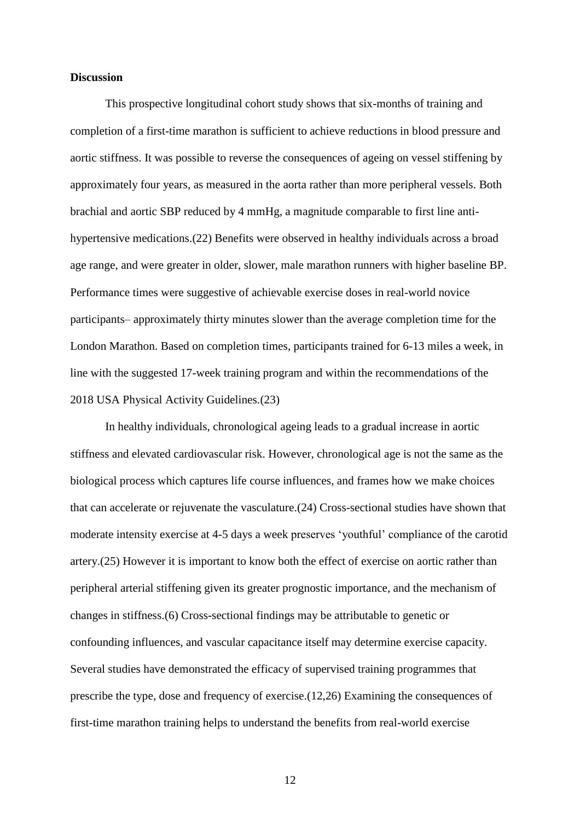### **Discussion**

This prospective longitudinal cohort study shows that six-months of training and completion of a first-time marathon is sufficient to achieve reductions in blood pressure and aortic stiffness. It was possible to reverse the consequences of ageing on vessel stiffening by approximately four years, as measured in the aorta rather than more peripheral vessels. Both brachial and aortic SBP reduced by 4 mmHg, a magnitude comparable to first line antihypertensive medications.(22) Benefits were observed in healthy individuals across a broad age range, and were greater in older, slower, male marathon runners with higher baseline BP. Performance times were suggestive of achievable exercise doses in real-world novice participants– approximately thirty minutes slower than the average completion time for the London Marathon. Based on completion times, participants trained for 6-13 miles a week, in line with the suggested 17-week training program and within the recommendations of the 2018 USA Physical Activity Guidelines.(23)

In healthy individuals, chronological ageing leads to a gradual increase in aortic stiffness and elevated cardiovascular risk. However, chronological age is not the same as the biological process which captures life course influences, and frames how we make choices that can accelerate or rejuvenate the vasculature.(24) Cross-sectional studies have shown that moderate intensity exercise at 4-5 days a week preserves 'youthful' compliance of the carotid artery.(25) However it is important to know both the effect of exercise on aortic rather than peripheral arterial stiffening given its greater prognostic importance, and the mechanism of changes in stiffness.(6) Cross-sectional findings may be attributable to genetic or confounding influences, and vascular capacitance itself may determine exercise capacity. Several studies have demonstrated the efficacy of supervised training programmes that prescribe the type, dose and frequency of exercise.(12,26) Examining the consequences of first-time marathon training helps to understand the benefits from real-world exercise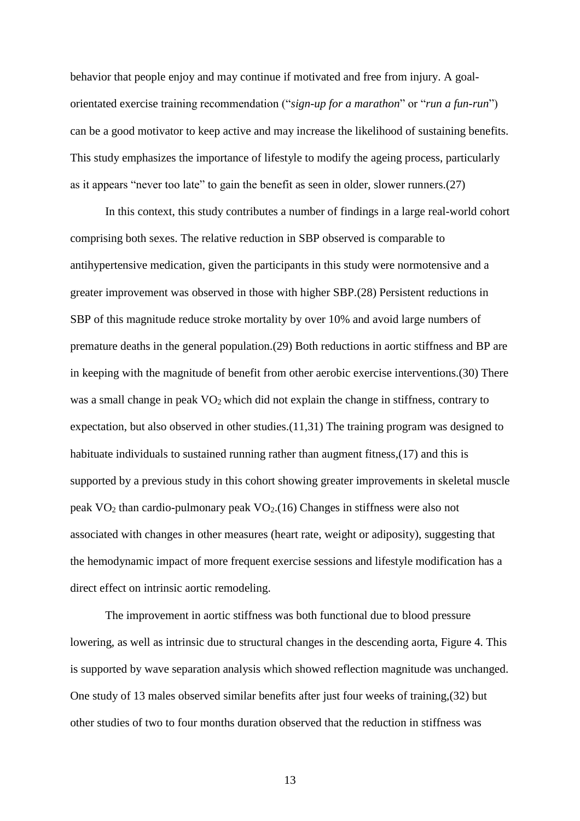behavior that people enjoy and may continue if motivated and free from injury. A goalorientated exercise training recommendation ("*sign-up for a marathon*" or "*run a fun-run*") can be a good motivator to keep active and may increase the likelihood of sustaining benefits. This study emphasizes the importance of lifestyle to modify the ageing process, particularly as it appears "never too late" to gain the benefit as seen in older, slower runners.(27)

In this context, this study contributes a number of findings in a large real-world cohort comprising both sexes. The relative reduction in SBP observed is comparable to antihypertensive medication, given the participants in this study were normotensive and a greater improvement was observed in those with higher SBP.(28) Persistent reductions in SBP of this magnitude reduce stroke mortality by over 10% and avoid large numbers of premature deaths in the general population.(29) Both reductions in aortic stiffness and BP are in keeping with the magnitude of benefit from other aerobic exercise interventions.(30) There was a small change in peak VO<sub>2</sub> which did not explain the change in stiffness, contrary to expectation, but also observed in other studies.(11,31) The training program was designed to habituate individuals to sustained running rather than augment fitness,(17) and this is supported by a previous study in this cohort showing greater improvements in skeletal muscle peak  $VO<sub>2</sub>$  than cardio-pulmonary peak  $VO<sub>2</sub>$ .(16) Changes in stiffness were also not associated with changes in other measures (heart rate, weight or adiposity), suggesting that the hemodynamic impact of more frequent exercise sessions and lifestyle modification has a direct effect on intrinsic aortic remodeling.

The improvement in aortic stiffness was both functional due to blood pressure lowering, as well as intrinsic due to structural changes in the descending aorta, [Figure 4.](#page-22-3) This is supported by wave separation analysis which showed reflection magnitude was unchanged. One study of 13 males observed similar benefits after just four weeks of training,(32) but other studies of two to four months duration observed that the reduction in stiffness was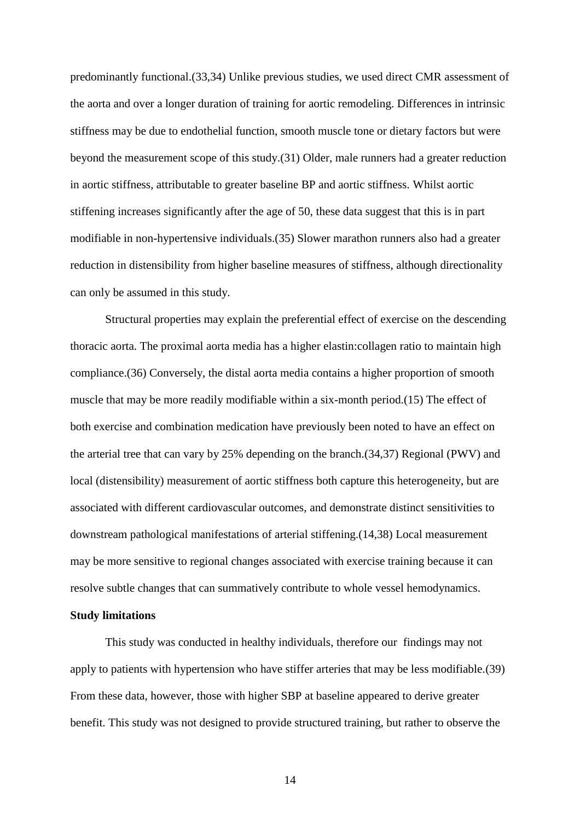predominantly functional.(33,34) Unlike previous studies, we used direct CMR assessment of the aorta and over a longer duration of training for aortic remodeling. Differences in intrinsic stiffness may be due to endothelial function, smooth muscle tone or dietary factors but were beyond the measurement scope of this study.(31) Older, male runners had a greater reduction in aortic stiffness, attributable to greater baseline BP and aortic stiffness. Whilst aortic stiffening increases significantly after the age of 50, these data suggest that this is in part modifiable in non-hypertensive individuals.(35) Slower marathon runners also had a greater reduction in distensibility from higher baseline measures of stiffness, although directionality can only be assumed in this study.

Structural properties may explain the preferential effect of exercise on the descending thoracic aorta. The proximal aorta media has a higher elastin:collagen ratio to maintain high compliance.(36) Conversely, the distal aorta media contains a higher proportion of smooth muscle that may be more readily modifiable within a six-month period.(15) The effect of both exercise and combination medication have previously been noted to have an effect on the arterial tree that can vary by 25% depending on the branch.(34,37) Regional (PWV) and local (distensibility) measurement of aortic stiffness both capture this heterogeneity, but are associated with different cardiovascular outcomes, and demonstrate distinct sensitivities to downstream pathological manifestations of arterial stiffening.(14,38) Local measurement may be more sensitive to regional changes associated with exercise training because it can resolve subtle changes that can summatively contribute to whole vessel hemodynamics.

### **Study limitations**

This study was conducted in healthy individuals, therefore our findings may not apply to patients with hypertension who have stiffer arteries that may be less modifiable.(39) From these data, however, those with higher SBP at baseline appeared to derive greater benefit. This study was not designed to provide structured training, but rather to observe the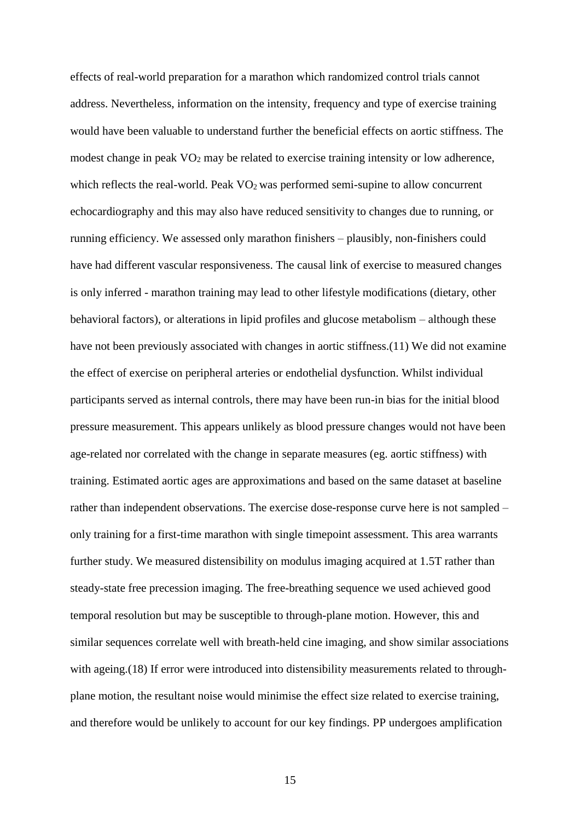effects of real-world preparation for a marathon which randomized control trials cannot address. Nevertheless, information on the intensity, frequency and type of exercise training would have been valuable to understand further the beneficial effects on aortic stiffness. The modest change in peak  $VO<sub>2</sub>$  may be related to exercise training intensity or low adherence, which reflects the real-world. Peak VO<sub>2</sub> was performed semi-supine to allow concurrent echocardiography and this may also have reduced sensitivity to changes due to running, or running efficiency. We assessed only marathon finishers – plausibly, non-finishers could have had different vascular responsiveness. The causal link of exercise to measured changes is only inferred - marathon training may lead to other lifestyle modifications (dietary, other behavioral factors), or alterations in lipid profiles and glucose metabolism – although these have not been previously associated with changes in aortic stiffness.(11) We did not examine the effect of exercise on peripheral arteries or endothelial dysfunction. Whilst individual participants served as internal controls, there may have been run-in bias for the initial blood pressure measurement. This appears unlikely as blood pressure changes would not have been age-related nor correlated with the change in separate measures (eg. aortic stiffness) with training. Estimated aortic ages are approximations and based on the same dataset at baseline rather than independent observations. The exercise dose-response curve here is not sampled – only training for a first-time marathon with single timepoint assessment. This area warrants further study. We measured distensibility on modulus imaging acquired at 1.5T rather than steady-state free precession imaging. The free-breathing sequence we used achieved good temporal resolution but may be susceptible to through-plane motion. However, this and similar sequences correlate well with breath-held cine imaging, and show similar associations with ageing. (18) If error were introduced into distensibility measurements related to throughplane motion, the resultant noise would minimise the effect size related to exercise training, and therefore would be unlikely to account for our key findings. PP undergoes amplification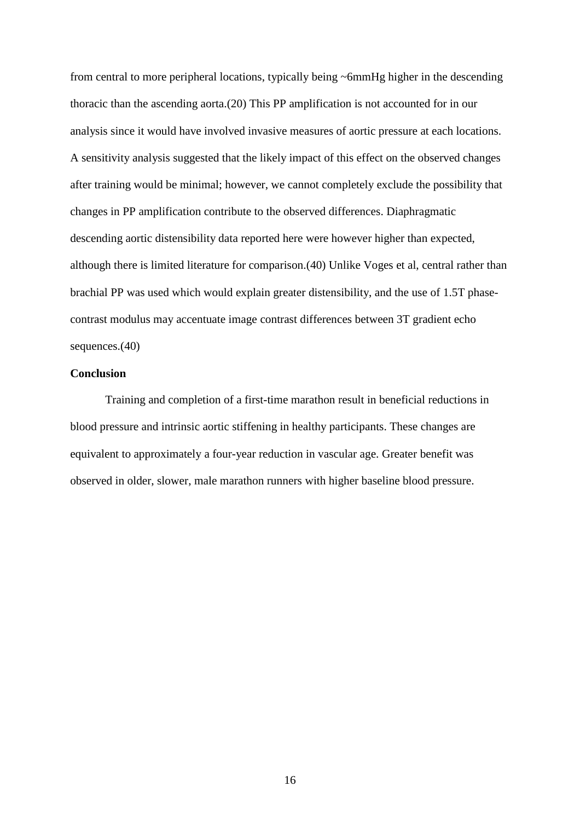from central to more peripheral locations, typically being ~6mmHg higher in the descending thoracic than the ascending aorta.(20) This PP amplification is not accounted for in our analysis since it would have involved invasive measures of aortic pressure at each locations. A sensitivity analysis suggested that the likely impact of this effect on the observed changes after training would be minimal; however, we cannot completely exclude the possibility that changes in PP amplification contribute to the observed differences. Diaphragmatic descending aortic distensibility data reported here were however higher than expected, although there is limited literature for comparison.(40) Unlike Voges et al, central rather than brachial PP was used which would explain greater distensibility, and the use of 1.5T phasecontrast modulus may accentuate image contrast differences between 3T gradient echo sequences.(40)

## **Conclusion**

Training and completion of a first-time marathon result in beneficial reductions in blood pressure and intrinsic aortic stiffening in healthy participants. These changes are equivalent to approximately a four-year reduction in vascular age. Greater benefit was observed in older, slower, male marathon runners with higher baseline blood pressure.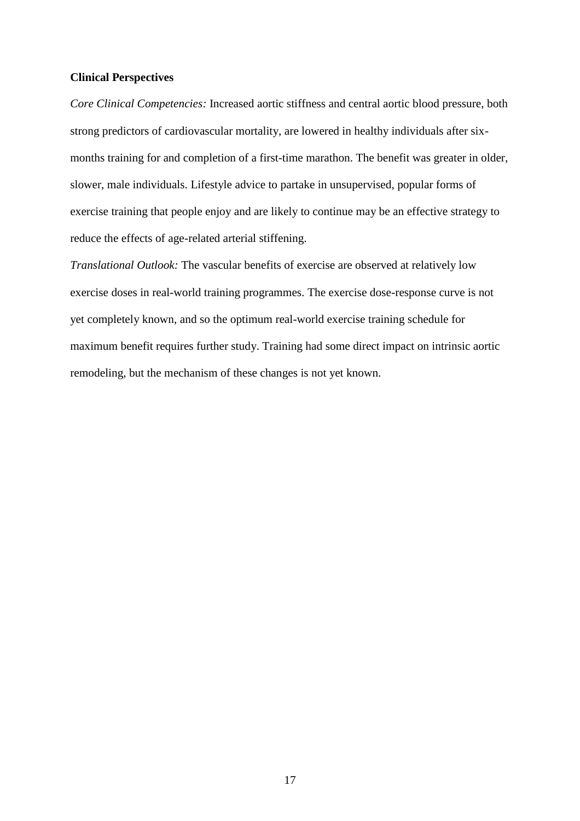### **Clinical Perspectives**

*Core Clinical Competencies:* Increased aortic stiffness and central aortic blood pressure, both strong predictors of cardiovascular mortality, are lowered in healthy individuals after sixmonths training for and completion of a first-time marathon. The benefit was greater in older, slower, male individuals. Lifestyle advice to partake in unsupervised, popular forms of exercise training that people enjoy and are likely to continue may be an effective strategy to reduce the effects of age-related arterial stiffening.

*Translational Outlook:* The vascular benefits of exercise are observed at relatively low exercise doses in real-world training programmes. The exercise dose-response curve is not yet completely known, and so the optimum real-world exercise training schedule for maximum benefit requires further study. Training had some direct impact on intrinsic aortic remodeling, but the mechanism of these changes is not yet known.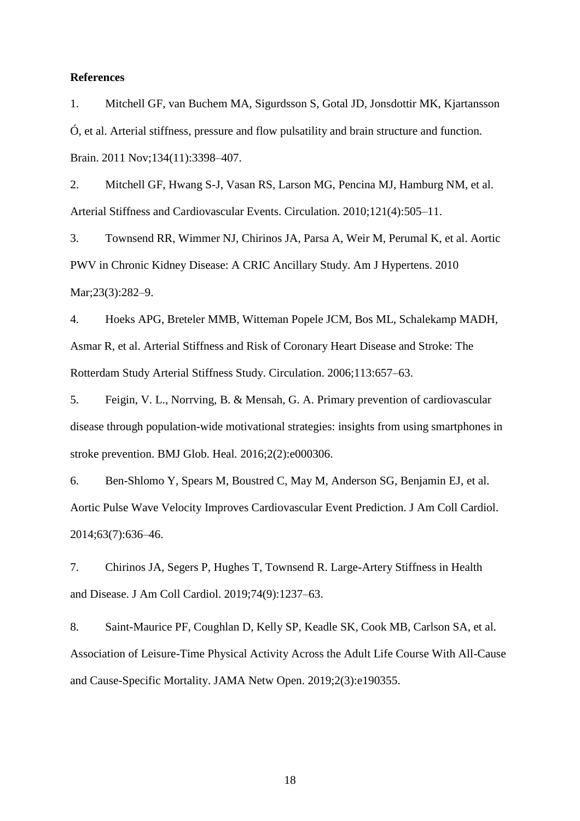### **References**

1. Mitchell GF, van Buchem MA, Sigurdsson S, Gotal JD, Jonsdottir MK, Kjartansson Ó, et al. Arterial stiffness, pressure and flow pulsatility and brain structure and function. Brain. 2011 Nov;134(11):3398–407.

2. Mitchell GF, Hwang S-J, Vasan RS, Larson MG, Pencina MJ, Hamburg NM, et al. Arterial Stiffness and Cardiovascular Events. Circulation. 2010;121(4):505–11.

3. Townsend RR, Wimmer NJ, Chirinos JA, Parsa A, Weir M, Perumal K, et al. Aortic PWV in Chronic Kidney Disease: A CRIC Ancillary Study. Am J Hypertens. 2010 Mar;23(3):282–9.

4. Hoeks APG, Breteler MMB, Witteman Popele JCM, Bos ML, Schalekamp MADH, Asmar R, et al. Arterial Stiffness and Risk of Coronary Heart Disease and Stroke: The Rotterdam Study Arterial Stiffness Study. Circulation. 2006;113:657–63.

5. Feigin, V. L., Norrving, B. & Mensah, G. A. Primary prevention of cardiovascular disease through population-wide motivational strategies: insights from using smartphones in stroke prevention. BMJ Glob. Heal*.* 2016;2(2):e000306.

6. Ben-Shlomo Y, Spears M, Boustred C, May M, Anderson SG, Benjamin EJ, et al. Aortic Pulse Wave Velocity Improves Cardiovascular Event Prediction. J Am Coll Cardiol. 2014;63(7):636–46.

7. Chirinos JA, Segers P, Hughes T, Townsend R. Large-Artery Stiffness in Health and Disease. J Am Coll Cardiol. 2019;74(9):1237–63.

8. Saint-Maurice PF, Coughlan D, Kelly SP, Keadle SK, Cook MB, Carlson SA, et al. Association of Leisure-Time Physical Activity Across the Adult Life Course With All-Cause and Cause-Specific Mortality. JAMA Netw Open. 2019;2(3):e190355.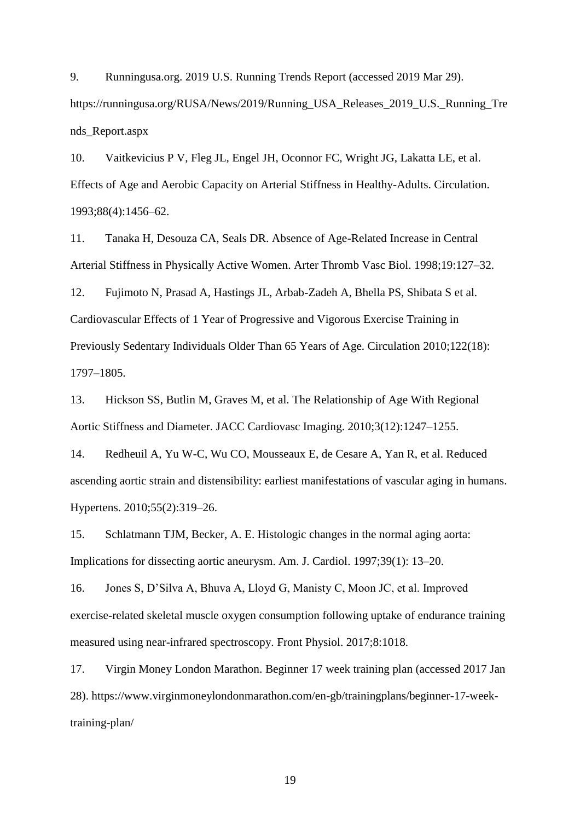9. Runningusa.org. 2019 U.S. Running Trends Report (accessed 2019 Mar 29). https://runningusa.org/RUSA/News/2019/Running\_USA\_Releases\_2019\_U.S.\_Running\_Tre nds\_Report.aspx

10. Vaitkevicius P V, Fleg JL, Engel JH, Oconnor FC, Wright JG, Lakatta LE, et al. Effects of Age and Aerobic Capacity on Arterial Stiffness in Healthy-Adults. Circulation. 1993;88(4):1456–62.

11. Tanaka H, Desouza CA, Seals DR. Absence of Age-Related Increase in Central Arterial Stiffness in Physically Active Women. Arter Thromb Vasc Biol. 1998;19:127–32.

12. Fujimoto N, Prasad A, Hastings JL, Arbab-Zadeh A, Bhella PS, Shibata S et al. Cardiovascular Effects of 1 Year of Progressive and Vigorous Exercise Training in Previously Sedentary Individuals Older Than 65 Years of Age. Circulation 2010;122(18): 1797–1805.

13. Hickson SS, Butlin M, Graves M, et al. The Relationship of Age With Regional Aortic Stiffness and Diameter. JACC Cardiovasc Imaging. 2010;3(12):1247–1255.

14. Redheuil A, Yu W-C, Wu CO, Mousseaux E, de Cesare A, Yan R, et al. Reduced ascending aortic strain and distensibility: earliest manifestations of vascular aging in humans. Hypertens. 2010;55(2):319–26.

15. Schlatmann TJM, Becker, A. E. Histologic changes in the normal aging aorta: Implications for dissecting aortic aneurysm. Am. J. Cardiol. 1997;39(1): 13–20.

16. Jones S, D'Silva A, Bhuva A, Lloyd G, Manisty C, Moon JC, et al. Improved exercise-related skeletal muscle oxygen consumption following uptake of endurance training measured using near-infrared spectroscopy. Front Physiol. 2017;8:1018.

17. Virgin Money London Marathon. Beginner 17 week training plan (accessed 2017 Jan 28). https://www.virginmoneylondonmarathon.com/en-gb/trainingplans/beginner-17-weektraining-plan/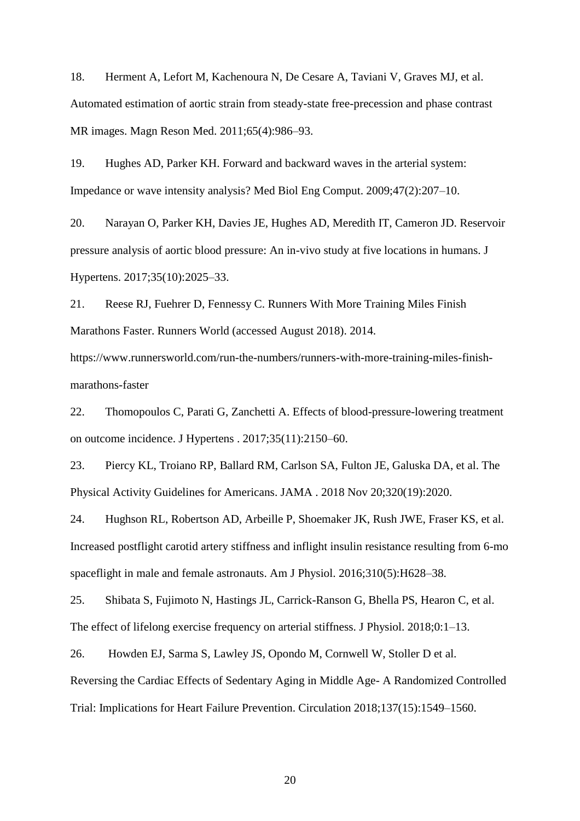18. Herment A, Lefort M, Kachenoura N, De Cesare A, Taviani V, Graves MJ, et al. Automated estimation of aortic strain from steady-state free-precession and phase contrast MR images. Magn Reson Med. 2011;65(4):986–93.

19. Hughes AD, Parker KH. Forward and backward waves in the arterial system: Impedance or wave intensity analysis? Med Biol Eng Comput. 2009;47(2):207–10.

20. Narayan O, Parker KH, Davies JE, Hughes AD, Meredith IT, Cameron JD. Reservoir pressure analysis of aortic blood pressure: An in-vivo study at five locations in humans. J Hypertens. 2017;35(10):2025–33.

21. Reese RJ, Fuehrer D, Fennessy C. Runners With More Training Miles Finish Marathons Faster. Runners World (accessed August 2018). 2014.

https://www.runnersworld.com/run-the-numbers/runners-with-more-training-miles-finishmarathons-faster

22. Thomopoulos C, Parati G, Zanchetti A. Effects of blood-pressure-lowering treatment on outcome incidence. J Hypertens . 2017;35(11):2150–60.

23. Piercy KL, Troiano RP, Ballard RM, Carlson SA, Fulton JE, Galuska DA, et al. The Physical Activity Guidelines for Americans. JAMA . 2018 Nov 20;320(19):2020.

24. Hughson RL, Robertson AD, Arbeille P, Shoemaker JK, Rush JWE, Fraser KS, et al. Increased postflight carotid artery stiffness and inflight insulin resistance resulting from 6-mo spaceflight in male and female astronauts. Am J Physiol. 2016;310(5):H628–38.

25. Shibata S, Fujimoto N, Hastings JL, Carrick-Ranson G, Bhella PS, Hearon C, et al. The effect of lifelong exercise frequency on arterial stiffness. J Physiol. 2018;0:1–13.

26. Howden EJ, Sarma S, Lawley JS, Opondo M, Cornwell W, Stoller D et al.

Reversing the Cardiac Effects of Sedentary Aging in Middle Age- A Randomized Controlled Trial: Implications for Heart Failure Prevention. Circulation 2018;137(15):1549–1560.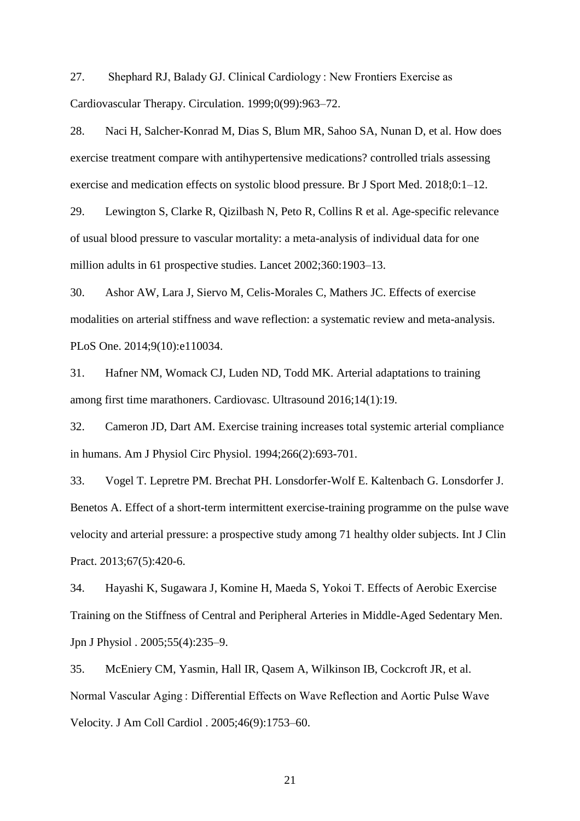27. Shephard RJ, Balady GJ. Clinical Cardiology : New Frontiers Exercise as Cardiovascular Therapy. Circulation. 1999;0(99):963–72.

28. Naci H, Salcher-Konrad M, Dias S, Blum MR, Sahoo SA, Nunan D, et al. How does exercise treatment compare with antihypertensive medications? controlled trials assessing exercise and medication effects on systolic blood pressure. Br J Sport Med. 2018;0:1–12.

29. Lewington S, Clarke R, Qizilbash N, Peto R, Collins R et al. Age-specific relevance of usual blood pressure to vascular mortality: a meta-analysis of individual data for one million adults in 61 prospective studies. Lancet 2002;360:1903–13.

30. Ashor AW, Lara J, Siervo M, Celis-Morales C, Mathers JC. Effects of exercise modalities on arterial stiffness and wave reflection: a systematic review and meta-analysis. PLoS One. 2014;9(10):e110034.

31. Hafner NM, Womack CJ, Luden ND, Todd MK. Arterial adaptations to training among first time marathoners. Cardiovasc. Ultrasound 2016;14(1):19.

32. Cameron JD, Dart AM. Exercise training increases total systemic arterial compliance in humans. Am J Physiol Circ Physiol. 1994;266(2):693-701.

33. Vogel T. Lepretre PM. Brechat PH. Lonsdorfer-Wolf E. Kaltenbach G. Lonsdorfer J. Benetos A. Effect of a short-term intermittent exercise-training programme on the pulse wave velocity and arterial pressure: a prospective study among 71 healthy older subjects. Int J Clin Pract. 2013;67(5):420-6.

34. Hayashi K, Sugawara J, Komine H, Maeda S, Yokoi T. Effects of Aerobic Exercise Training on the Stiffness of Central and Peripheral Arteries in Middle-Aged Sedentary Men. Jpn J Physiol . 2005;55(4):235–9.

35. McEniery CM, Yasmin, Hall IR, Qasem A, Wilkinson IB, Cockcroft JR, et al. Normal Vascular Aging : Differential Effects on Wave Reflection and Aortic Pulse Wave Velocity. J Am Coll Cardiol . 2005;46(9):1753–60.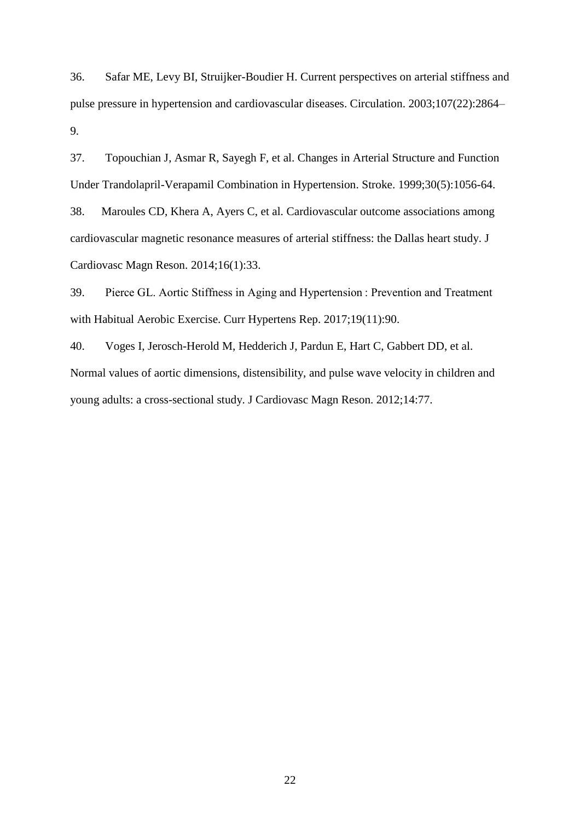36. Safar ME, Levy BI, Struijker-Boudier H. Current perspectives on arterial stiffness and pulse pressure in hypertension and cardiovascular diseases. Circulation. 2003;107(22):2864– 9.

37. Topouchian J, Asmar R, Sayegh F, et al. Changes in Arterial Structure and Function Under Trandolapril-Verapamil Combination in Hypertension. Stroke. 1999;30(5):1056-64. 38. Maroules CD, Khera A, Ayers C, et al. Cardiovascular outcome associations among cardiovascular magnetic resonance measures of arterial stiffness: the Dallas heart study. J Cardiovasc Magn Reson. 2014;16(1):33.

39. Pierce GL. Aortic Stiffness in Aging and Hypertension : Prevention and Treatment with Habitual Aerobic Exercise. Curr Hypertens Rep. 2017;19(11):90.

40. Voges I, Jerosch-Herold M, Hedderich J, Pardun E, Hart C, Gabbert DD, et al. Normal values of aortic dimensions, distensibility, and pulse wave velocity in children and young adults: a cross-sectional study. J Cardiovasc Magn Reson. 2012;14:77.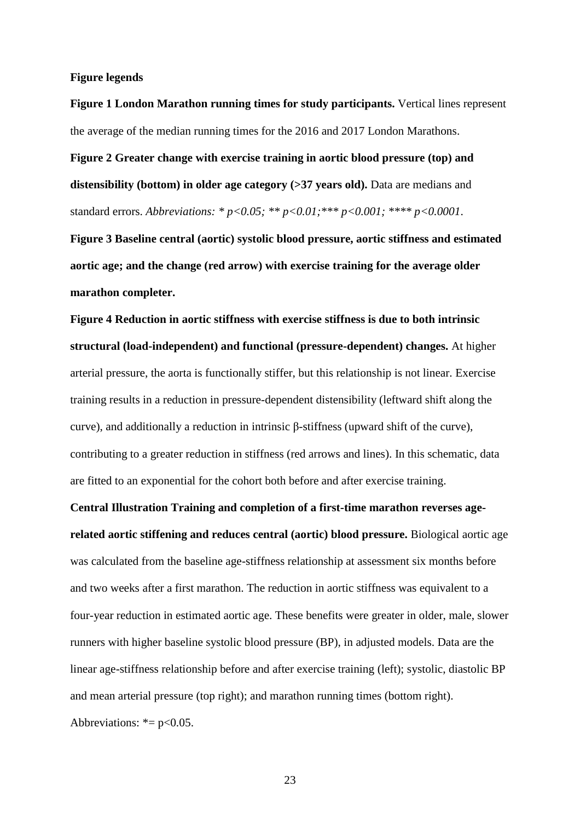#### **Figure legends**

<span id="page-22-0"></span>**Figure 1 London Marathon running times for study participants.** Vertical lines represent the average of the median running times for the 2016 and 2017 London Marathons.

<span id="page-22-1"></span>**Figure 2 Greater change with exercise training in aortic blood pressure (top) and distensibility (bottom) in older age category (>37 years old).** Data are medians and standard errors. *Abbreviations: \* p<0.05; \*\* p<0.01;\*\*\* p<0.001; \*\*\*\* p<0.0001*.

<span id="page-22-2"></span>**Figure 3 Baseline central (aortic) systolic blood pressure, aortic stiffness and estimated aortic age; and the change (red arrow) with exercise training for the average older marathon completer.**

<span id="page-22-3"></span>**Figure 4 Reduction in aortic stiffness with exercise stiffness is due to both intrinsic structural (load-independent) and functional (pressure-dependent) changes.** At higher arterial pressure, the aorta is functionally stiffer, but this relationship is not linear. Exercise training results in a reduction in pressure-dependent distensibility (leftward shift along the curve), and additionally a reduction in intrinsic β-stiffness (upward shift of the curve), contributing to a greater reduction in stiffness (red arrows and lines). In this schematic, data are fitted to an exponential for the cohort both before and after exercise training.

**Central Illustration Training and completion of a first-time marathon reverses agerelated aortic stiffening and reduces central (aortic) blood pressure.** Biological aortic age was calculated from the baseline age-stiffness relationship at assessment six months before and two weeks after a first marathon. The reduction in aortic stiffness was equivalent to a four-year reduction in estimated aortic age. These benefits were greater in older, male, slower runners with higher baseline systolic blood pressure (BP), in adjusted models. Data are the linear age-stiffness relationship before and after exercise training (left); systolic, diastolic BP and mean arterial pressure (top right); and marathon running times (bottom right). Abbreviations:  $* = p < 0.05$ .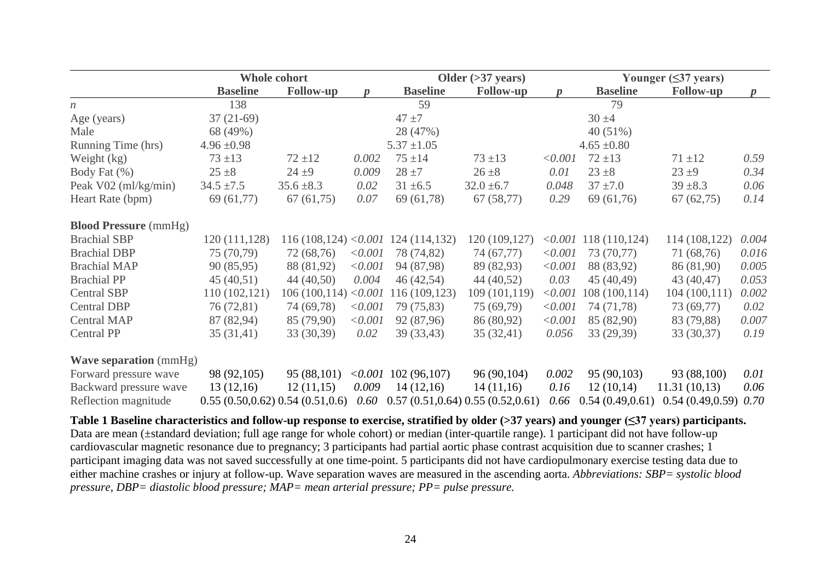|                               | <b>Whole cohort</b>              |                       |         |                 | Older $(>37$ years)               |         | Younger $(\leq 37$ years) |                  |                  |  |
|-------------------------------|----------------------------------|-----------------------|---------|-----------------|-----------------------------------|---------|---------------------------|------------------|------------------|--|
|                               | <b>Baseline</b>                  | <b>Follow-up</b>      |         | <b>Baseline</b> | <b>Follow-up</b>                  |         | <b>Baseline</b>           | <b>Follow-up</b> | $\boldsymbol{p}$ |  |
| $\boldsymbol{n}$              | 138                              |                       |         | 59              |                                   |         | 79                        |                  |                  |  |
| Age (years)                   | $37(21-69)$                      |                       |         | $47 + 7$        |                                   |         | $30 + 4$                  |                  |                  |  |
| Male                          | 68 (49%)                         |                       |         | 28 (47%)        |                                   |         | 40 (51%)                  |                  |                  |  |
| Running Time (hrs)            | $4.96 \pm 0.98$                  |                       |         | $5.37 \pm 1.05$ |                                   |         | $4.65 \pm 0.80$           |                  |                  |  |
| Weight (kg)                   | $73 + 13$                        | $72 + 12$             | 0.002   | $75 + 14$       | $73 + 13$                         | < 0.001 | $72 + 13$                 | $71 + 12$        | 0.59             |  |
| Body Fat (%)                  | $25 + 8$                         | $24 + 9$              | 0.009   | $28 + 7$        | $26 \pm 8$                        | 0.01    | $23 + 8$                  | $23 + 9$         | 0.34             |  |
| Peak V02 (ml/kg/min)          | $34.5 \pm 7.5$                   | $35.6 \pm 8.3$        | 0.02    | $31 \pm 6.5$    | $32.0 \pm 6.7$                    | 0.048   | $37 + 7.0$                | $39 + 8.3$       | 0.06             |  |
| Heart Rate (bpm)              | 69(61,77)                        | 67(61,75)             | 0.07    | 69(61,78)       | 67(58,77)                         | 0.29    | 69(61,76)                 | 67(62,75)        | 0.14             |  |
| <b>Blood Pressure</b> (mmHg)  |                                  |                       |         |                 |                                   |         |                           |                  |                  |  |
| <b>Brachial SBP</b>           | 120 (111,128)                    | 116(108, 124) < 0.001 |         | 124(114,132)    | 120 (109,127)                     |         |                           | 114 (108,122)    | 0.004            |  |
| <b>Brachial DBP</b>           | 75 (70,79)                       | 72 (68,76)            | < 0.001 | 78 (74,82)      | 74 (67,77)                        | < 0.001 | 73 (70,77)                | 71 (68,76)       | 0.016            |  |
| <b>Brachial MAP</b>           | 90(85,95)                        | 88 (81,92)            | < 0.001 | 94 (87,98)      | 89 (82,93)                        | < 0.001 | 88 (83,92)                | 86 (81,90)       | 0.005            |  |
| <b>Brachial PP</b>            | 45(40,51)                        | 44(40,50)             | 0.004   | 46(42,54)       | 44(40,52)                         | 0.03    | 45 (40,49)                | 43 (40,47)       | 0.053            |  |
| <b>Central SBP</b>            | 110(102,121)                     | 106(100,114)          | < 0.001 | 116 (109,123)   | 109 (101,119)                     | < 0.001 | 108(100, 114)             | 104(100,111)     | 0.002            |  |
| <b>Central DBP</b>            | 76 (72,81)                       | 74 (69,78)            | < 0.001 | 79 (75,83)      | 75 (69,79)                        | < 0.001 | 74 (71,78)                | 73 (69,77)       | 0.02             |  |
| <b>Central MAP</b>            | 87 (82,94)                       | 85 (79,90)            | < 0.001 | 92 (87,96)      | 86 (80,92)                        | < 0.001 | 85 (82,90)                | 83 (79,88)       | 0.007            |  |
| Central PP                    | 35(31,41)                        | 33 (30,39)            | 0.02    | 39 (33,43)      | 35(32,41)                         | 0.056   | 33 (29,39)                | 33 (30,37)       | 0.19             |  |
| <b>Wave separation</b> (mmHg) |                                  |                       |         |                 |                                   |         |                           |                  |                  |  |
| Forward pressure wave         | 98 (92,105)                      | 95 (88,101)           | < 0.001 | 102(96,107)     | 96 (90,104)                       | 0.002   | 95 (90,103)               | 93 (88,100)      | 0.01             |  |
| Backward pressure wave        | 13(12,16)                        | 12(11,15)             | 0.009   | 14(12,16)       | 14(11,16)                         | 0.16    | 12(10,14)                 | 11.31(10,13)     | 0.06             |  |
| Reflection magnitude          | 0.55(0.50, 0.62) 0.54(0.51, 0.6) |                       | 0.60    |                 | 0.57(0.51, 0.64) 0.55(0.52, 0.61) | 0.66    | 0.54(0.49, 0.61)          | 0.54(0.49, 0.59) | 0.70             |  |

<span id="page-23-0"></span>**Table 1 Baseline characteristics and follow-up response to exercise, stratified by older (>37 years) and younger (≤37 years) participants.** Data are mean ( $\pm$ standard deviation; full age range for whole cohort) or median (inter-quartile range). 1 participant did not have follow-up cardiovascular magnetic resonance due to pregnancy; 3 participants had partial aortic phase contrast acquisition due to scanner crashes; 1 participant imaging data was not saved successfully at one time-point. 5 participants did not have cardiopulmonary exercise testing data due to either machine crashes or injury at follow-up. Wave separation waves are measured in the ascending aorta. *Abbreviations: SBP= systolic blood pressure, DBP= diastolic blood pressure; MAP= mean arterial pressure; PP= pulse pressure.*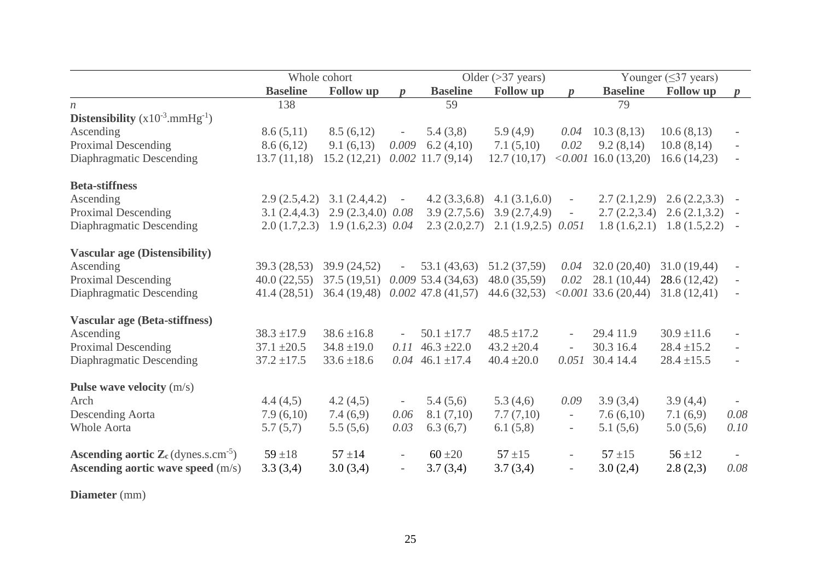|                                                                    | Whole cohort    |                                   |                          |                       | Older $(>37 \text{ years})$ | Younger $(\leq)37$ years) |                                    |                  |                          |
|--------------------------------------------------------------------|-----------------|-----------------------------------|--------------------------|-----------------------|-----------------------------|---------------------------|------------------------------------|------------------|--------------------------|
|                                                                    | <b>Baseline</b> | <b>Follow</b> up                  |                          | <b>Baseline</b>       | <b>Follow</b> up            |                           | <b>Baseline</b>                    | <b>Follow</b> up | $\boldsymbol{p}$         |
| $\boldsymbol{n}$                                                   | 138             |                                   |                          | 59                    |                             |                           | 79                                 |                  |                          |
| <b>Distensibility</b> $(x10^{-3}.mmHg^{-1})$                       |                 |                                   |                          |                       |                             |                           |                                    |                  |                          |
| Ascending                                                          | 8.6(5,11)       | 8.5(6,12)                         | $\overline{a}$           | 5.4(3,8)              | 5.9(4,9)                    | 0.04                      | 10.3(8,13)                         | 10.6(8,13)       |                          |
| <b>Proximal Descending</b>                                         | 8.6(6,12)       | 9.1(6,13)                         | 0.009                    | 6.2(4,10)             | 7.1(5,10)                   | 0.02                      | 9.2(8,14)                          | 10.8(8,14)       |                          |
| Diaphragmatic Descending                                           | 13.7(11,18)     | 15.2(12,21)                       |                          | $0.002$ 11.7 $(9,14)$ | 12.7(10,17)                 |                           | $<0.001$ 16.0 (13,20)              | 16.6(14,23)      |                          |
| <b>Beta-stiffness</b>                                              |                 |                                   |                          |                       |                             |                           |                                    |                  |                          |
| Ascending                                                          |                 | $2.9(2.5, 4.2)$ $3.1(2.4, 4.2)$   | $\overline{\phantom{a}}$ | 4.2(3.3,6.8)          | 4.1(3.1,6.0)                |                           | 2.7(2.1,2.9)                       | 2.6(2.2,3.3)     |                          |
| <b>Proximal Descending</b>                                         | 3.1(2.4, 4.3)   | $2.9(2.3, 4.0)$ $0.08$            |                          | 3.9(2.7,5.6)          | 3.9(2.7, 4.9)               | $\overline{\phantom{a}}$  | 2.7(2.2,3.4)                       | 2.6(2.1,3.2)     | $\overline{\phantom{a}}$ |
| Diaphragmatic Descending                                           |                 | $2.0(1.7,2.3)$ 1.9 (1.6,2.3) 0.04 |                          | 2.3(2.0,2.7)          | $2.1(1.9,2.5)$ 0.051        |                           | 1.8(1.6, 2.1)                      | 1.8(1.5,2.2)     |                          |
| <b>Vascular age (Distensibility)</b>                               |                 |                                   |                          |                       |                             |                           |                                    |                  |                          |
| Ascending                                                          | 39.3 (28,53)    | 39.9 (24,52)                      |                          | 53.1(43,63)           | 51.2 (37,59)                | 0.04                      | 32.0(20,40)                        | 31.0(19,44)      |                          |
| <b>Proximal Descending</b>                                         | 40.0(22,55)     | 37.5(19.51)                       |                          | 0.00953.4(34,63)      | 48.0 (35,59)                | 0.02                      | 28.1(10,44)                        | 28.6 (12,42)     |                          |
| Diaphragmatic Descending                                           | 41.4(28,51)     | 36.4(19,48)                       |                          | $0.002$ 47.8 (41,57)  | 44.6(32,53)                 |                           | $\langle 0.001 \, 33.6 \, (20.44)$ | 31.8(12,41)      |                          |
| <b>Vascular age (Beta-stiffness)</b>                               |                 |                                   |                          |                       |                             |                           |                                    |                  |                          |
| Ascending                                                          | $38.3 \pm 17.9$ | $38.6 \pm 16.8$                   |                          | $50.1 \pm 17.7$       | $48.5 \pm 17.2$             | $\overline{\phantom{a}}$  | 29.4 11.9                          | $30.9 \pm 11.6$  |                          |
| <b>Proximal Descending</b>                                         | $37.1 \pm 20.5$ | $34.8 \pm 19.0$                   | 0.11                     | $46.3 \pm 22.0$       | $43.2 \pm 20.4$             | $\overline{a}$            | 30.3 16.4                          | $28.4 \pm 15.2$  |                          |
| Diaphragmatic Descending                                           | $37.2 \pm 17.5$ | $33.6 \pm 18.6$                   | 0.04                     | $46.1 \pm 17.4$       | $40.4 \pm 20.0$             | 0.051                     | 30.4 14.4                          | $28.4 \pm 15.5$  |                          |
| Pulse wave velocity $(m/s)$                                        |                 |                                   |                          |                       |                             |                           |                                    |                  |                          |
| Arch                                                               | 4.4(4,5)        | 4.2(4,5)                          | $\overline{\phantom{a}}$ | 5.4(5,6)              | 5.3(4,6)                    | 0.09                      | 3.9(3,4)                           | 3.9(4,4)         |                          |
| <b>Descending Aorta</b>                                            | 7.9(6,10)       | 7.4(6,9)                          | 0.06                     | 8.1(7,10)             | 7.7(7,10)                   | $\overline{\phantom{a}}$  | 7.6(6,10)                          | 7.1(6,9)         | 0.08                     |
| <b>Whole Aorta</b>                                                 | 5.7(5,7)        | 5.5(5,6)                          | 0.03                     | 6.3(6,7)              | 6.1(5,8)                    | $\overline{\phantom{a}}$  | 5.1(5,6)                           | 5.0(5,6)         | 0.10                     |
| <b>Ascending aortic Z</b> <sub>c</sub> (dynes.s.cm <sup>-5</sup> ) | $59 + 18$       | $57 + 14$                         | $\overline{\phantom{a}}$ | $60 + 20$             | $57 + 15$                   | $\overline{\phantom{a}}$  | $57 + 15$                          | $56 + 12$        |                          |
| <b>Ascending aortic wave speed</b> (m/s)                           | 3.3(3,4)        | 3.0(3,4)                          | $\overline{\phantom{a}}$ | 3.7(3,4)              | 3.7(3,4)                    | $\overline{\phantom{a}}$  | 3.0(2,4)                           | 2.8(2,3)         | 0.08                     |

**Diameter** (mm)